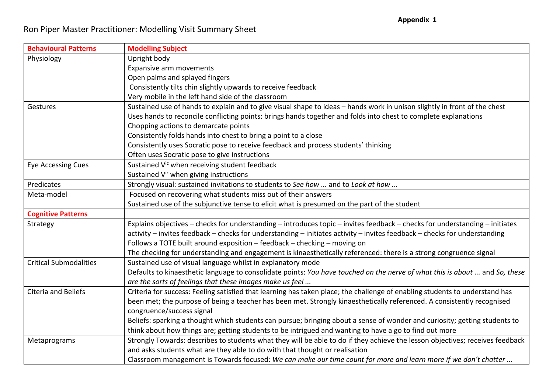| <b>Behavioural Patterns</b>   | <b>Modelling Subject</b>                                                                                                      |
|-------------------------------|-------------------------------------------------------------------------------------------------------------------------------|
| Physiology                    | Upright body                                                                                                                  |
|                               | Expansive arm movements                                                                                                       |
|                               | Open palms and splayed fingers                                                                                                |
|                               | Consistently tilts chin slightly upwards to receive feedback                                                                  |
|                               | Very mobile in the left hand side of the classroom                                                                            |
| Gestures                      | Sustained use of hands to explain and to give visual shape to ideas - hands work in unison slightly in front of the chest     |
|                               | Uses hands to reconcile conflicting points: brings hands together and folds into chest to complete explanations               |
|                               | Chopping actions to demarcate points                                                                                          |
|                               | Consistently folds hands into chest to bring a point to a close                                                               |
|                               | Consistently uses Socratic pose to receive feedback and process students' thinking                                            |
|                               | Often uses Socratic pose to give instructions                                                                                 |
| <b>Eye Accessing Cues</b>     | Sustained V <sup>ic</sup> when receiving student feedback                                                                     |
|                               | Sustained V <sup>ir</sup> when giving instructions                                                                            |
| Predicates                    | Strongly visual: sustained invitations to students to See how  and to Look at how                                             |
| Meta-model                    | Focused on recovering what students miss out of their answers                                                                 |
|                               | Sustained use of the subjunctive tense to elicit what is presumed on the part of the student                                  |
| <b>Cognitive Patterns</b>     |                                                                                                                               |
| Strategy                      | Explains objectives - checks for understanding - introduces topic - invites feedback - checks for understanding - initiates   |
|                               | activity - invites feedback - checks for understanding - initiates activity - invites feedback - checks for understanding     |
|                               | Follows a TOTE built around exposition - feedback - checking - moving on                                                      |
|                               | The checking for understanding and engagement is kinaesthetically referenced: there is a strong congruence signal             |
| <b>Critical Submodalities</b> | Sustained use of visual language whilst in explanatory mode                                                                   |
|                               | Defaults to kinaesthetic language to consolidate points: You have touched on the nerve of what this is about  and So, these   |
|                               | are the sorts of feelings that these images make us feel                                                                      |
| Citeria and Beliefs           | Criteria for success: Feeling satisfied that learning has taken place; the challenge of enabling students to understand has   |
|                               | been met; the purpose of being a teacher has been met. Strongly kinaesthetically referenced. A consistently recognised        |
|                               | congruence/success signal                                                                                                     |
|                               | Beliefs: sparking a thought which students can pursue; bringing about a sense of wonder and curiosity; getting students to    |
|                               | think about how things are; getting students to be intrigued and wanting to have a go to find out more                        |
| Metaprograms                  | Strongly Towards: describes to students what they will be able to do if they achieve the lesson objectives; receives feedback |
|                               | and asks students what are they able to do with that thought or realisation                                                   |
|                               | Classroom management is Towards focused: We can make our time count for more and learn more if we don't chatter               |